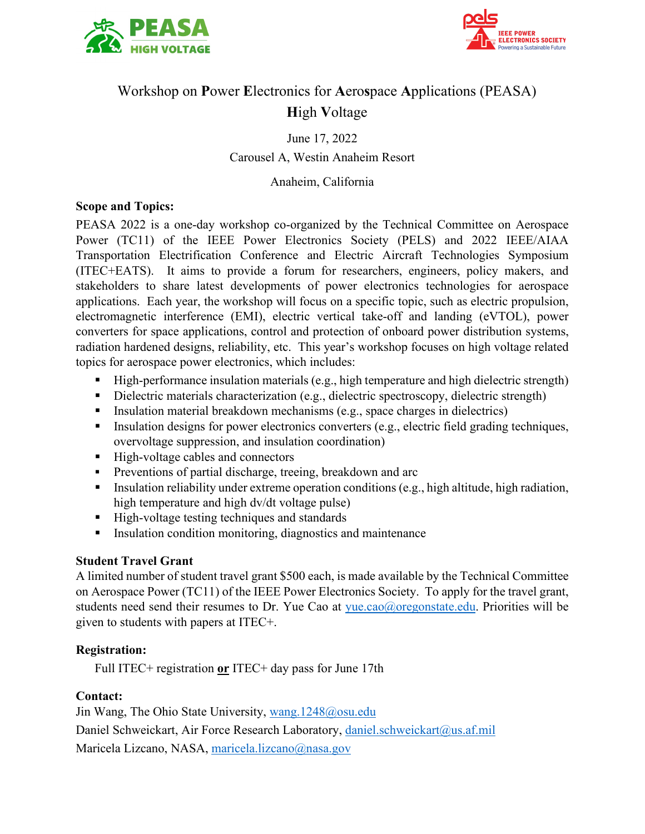



## Workshop on **P**ower **E**lectronics for **A**ero**s**pace **A**pplications (PEASA) **H**igh **V**oltage

June 17, 2022 Carousel A, Westin Anaheim Resort

Anaheim, California

#### **Scope and Topics:**

PEASA 2022 is a one-day workshop co-organized by the Technical Committee on Aerospace Power (TC11) of the IEEE Power Electronics Society (PELS) and 2022 IEEE/AIAA Transportation Electrification Conference and Electric Aircraft Technologies Symposium (ITEC+EATS). It aims to provide a forum for researchers, engineers, policy makers, and stakeholders to share latest developments of power electronics technologies for aerospace applications. Each year, the workshop will focus on a specific topic, such as electric propulsion, electromagnetic interference (EMI), electric vertical take-off and landing (eVTOL), power converters for space applications, control and protection of onboard power distribution systems, radiation hardened designs, reliability, etc. This year's workshop focuses on high voltage related topics for aerospace power electronics, which includes:

- High-performance insulation materials (e.g., high temperature and high dielectric strength)
- Dielectric materials characterization (e.g., dielectric spectroscopy, dielectric strength)
- Insulation material breakdown mechanisms (e.g., space charges in dielectrics)
- Insulation designs for power electronics converters (e.g., electric field grading techniques, overvoltage suppression, and insulation coordination)
- High-voltage cables and connectors
- **Preventions of partial discharge, treeing, breakdown and arc**
- Insulation reliability under extreme operation conditions (e.g., high altitude, high radiation, high temperature and high dv/dt voltage pulse)
- High-voltage testing techniques and standards
- **Insulation condition monitoring, diagnostics and maintenance**

### **Student Travel Grant**

A limited number of student travel grant \$500 each, is made available by the Technical Committee on Aerospace Power (TC11) of the IEEE Power Electronics Society. To apply for the travel grant, students need send their resumes to Dr. Yue Cao at  $yue.cao@oregon state.edu$ . Priorities will be given to students with papers at ITEC+.

#### **Registration:**

Full ITEC+ registration **or** ITEC+ day pass for June 17th

#### **Contact:**

Jin Wang, The Ohio State University, [wang.1248@osu.edu](mailto:wang.1248@osu.edu) Daniel Schweickart, Air Force Research Laboratory, [daniel.schweickart@us.af.mil](mailto:daniel.schweickart@us.af.mil) [Maricela Lizcano,](mailto:Maricela%20Lizcano) NASA, [maricela.lizcano@nasa.gov](mailto:maricela.lizcano@nasa.gov)